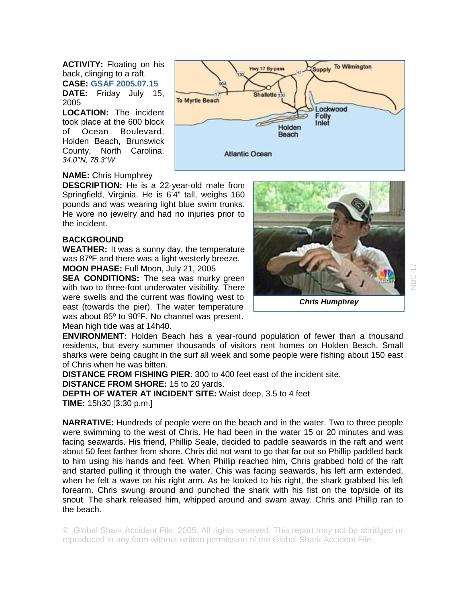**ACTIVITY:** Floating on his back, clinging to a raft.

**CASE: GSAF 2005.07.15 DATE:** Friday July 15, 2005

**LOCATION:** The incident took place at the 600 block of Ocean Boulevard, Holden Beach, Brunswick County, North Carolina. *34.0°N, 78.3°W* 



## **NAME:** Chris Humphrey

**DESCRIPTION:** He is a 22-year-old male from Springfield, Virginia. He is 6'4" tall, weighs 160 pounds and was wearing light blue swim trunks. He wore no jewelry and had no injuries prior to the incident.

## **BACKGROUND**

**WEATHER:** It was a sunny day, the temperature was 87ºF and there was a light westerly breeze.

**MOON PHASE:** Full Moon, July 21, 2005

**SEA CONDITIONS:** The sea was murky green with two to three-foot underwater visibility. There were swells and the current was flowing west to east (towards the pier). The water temperature was about 85º to 90ºF. No channel was present. Mean high tide was at 14h40.



NBC-17

**ENVIRONMENT:** Holden Beach has a year-round population of fewer than a thousand residents, but every summer thousands of visitors rent homes on Holden Beach. Small sharks were being caught in the surf all week and some people were fishing about 150 east of Chris when he was bitten.

**DISTANCE FROM FISHING PIER**: 300 to 400 feet east of the incident site. **DISTANCE FROM SHORE:** 15 to 20 yards. **DEPTH OF WATER AT INCIDENT SITE:** Waist deep, 3.5 to 4 feet

**TIME:** 15h30 [3:30 p.m.]

**NARRATIVE:** Hundreds of people were on the beach and in the water. Two to three people were swimming to the west of Chris. He had been in the water 15 or 20 minutes and was facing seawards. His friend, Phillip Seale, decided to paddle seawards in the raft and went about 50 feet farther from shore. Chris did not want to go that far out so Phillip paddled back to him using his hands and feet. When Phillip reached him, Chris grabbed hold of the raft and started pulling it through the water. Chis was facing seawards, his left arm extended, when he felt a wave on his right arm. As he looked to his right, the shark grabbed his left forearm. Chris swung around and punched the shark with his fist on the top/side of its snout. The shark released him, whipped around and swam away. Chris and Phillip ran to the beach.

© Global Shark Accident File, 2005. All rights reserved. This report may not be abridged or reproduced in any form without written permission of the Global Shark Accident File.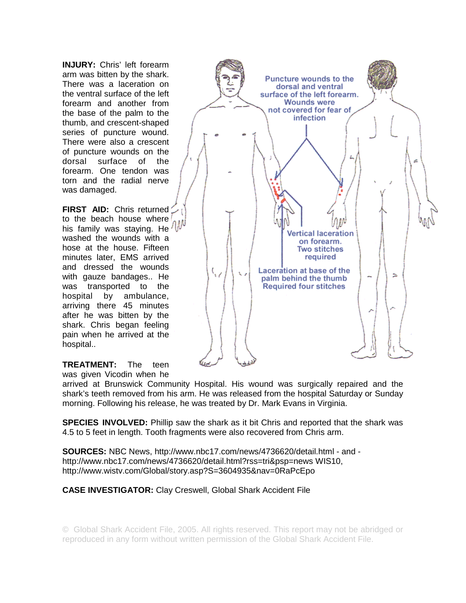**INJURY:** Chris' left forearm arm was bitten by the shark. There was a laceration on the ventral surface of the left forearm and another from the base of the palm to the thumb, and crescent-shaped series of puncture wound. There were also a crescent of puncture wounds on the dorsal surface of the forearm. One tendon was torn and the radial nerve was damaged.

**FIRST AID:** Chris returned to the beach house where his family was staying. He washed the wounds with a hose at the house. Fifteen minutes later, EMS arrived and dressed the wounds with gauze bandages.. He was transported to the hospital by ambulance, arriving there 45 minutes after he was bitten by the shark. Chris began feeling pain when he arrived at the hospital..



**TREATMENT:** The teen was given Vicodin when he

arrived at Brunswick Community Hospital. His wound was surgically repaired and the shark's teeth removed from his arm. He was released from the hospital Saturday or Sunday morning. Following his release, he was treated by Dr. Mark Evans in Virginia.

**SPECIES INVOLVED:** Phillip saw the shark as it bit Chris and reported that the shark was 4.5 to 5 feet in length. Tooth fragments were also recovered from Chris arm.

**SOURCES:** NBC News, http://www.nbc17.com/news/4736620/detail.html - and http://www.nbc17.com/news/4736620/detail.html?rss=tri&psp=news WIS10, http://www.wistv.com/Global/story.asp?S=3604935&nav=0RaPcEpo

## **CASE INVESTIGATOR:** Clay Creswell, Global Shark Accident File

© Global Shark Accident File, 2005. All rights reserved. This report may not be abridged or reproduced in any form without written permission of the Global Shark Accident File.